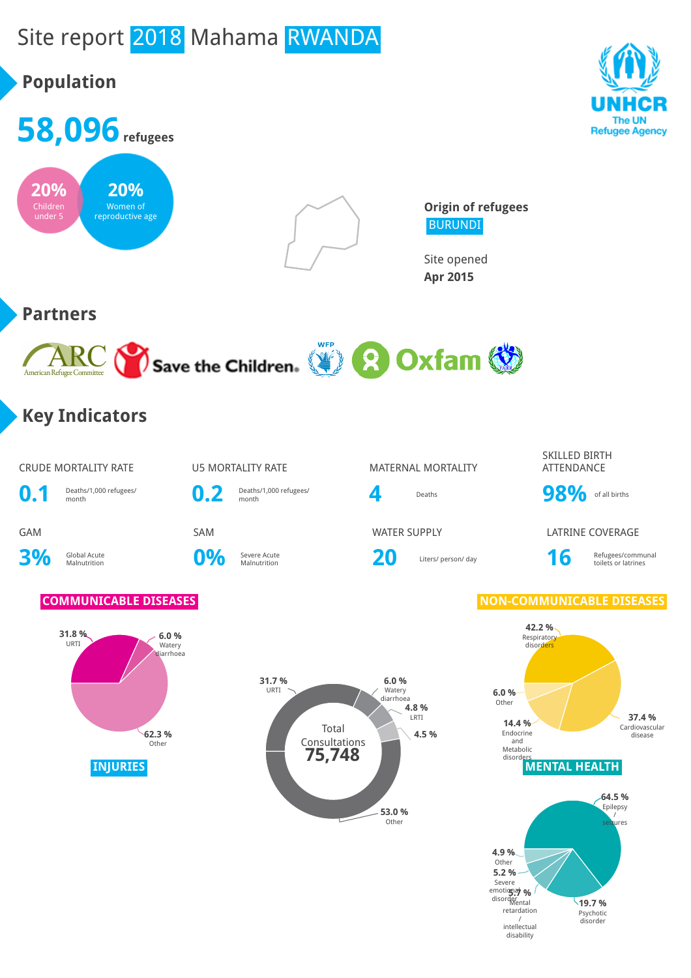# Site report 2018 Mahama RWANDA

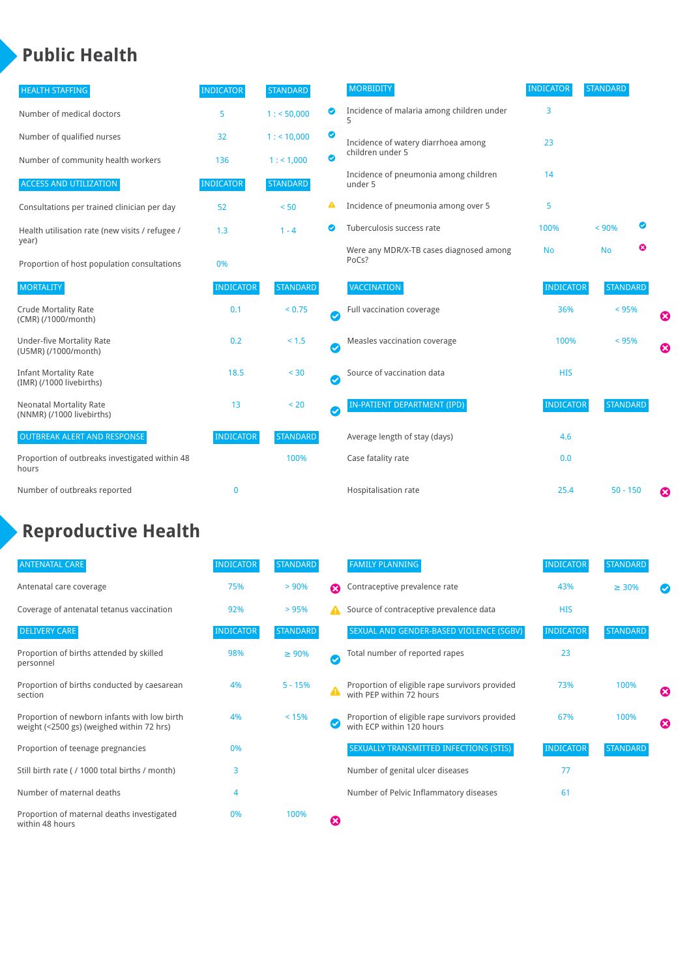### **Public Health**

| <b>HEALTH STAFFING</b>                                      | <b>INDICATOR</b> | <b>STANDARD</b> |           | <b>MORBIDITY</b>                                 | <b>INDICATOR</b> | <b>STANDARD</b> |   |                       |
|-------------------------------------------------------------|------------------|-----------------|-----------|--------------------------------------------------|------------------|-----------------|---|-----------------------|
| Number of medical doctors                                   | 5                | 1: 50,000       | ◉         | Incidence of malaria among children under        | 3                |                 |   |                       |
| Number of qualified nurses                                  | 32               | $1:$ < 10,000   | ◎         | Incidence of watery diarrhoea among              | 23               |                 |   |                       |
| Number of community health workers                          | 136              | 1: 1,000        | ◙         | children under 5                                 |                  |                 |   |                       |
| <b>ACCESS AND UTILIZATION</b>                               | <b>INDICATOR</b> | <b>STANDARD</b> |           | Incidence of pneumonia among children<br>under 5 | 14               |                 |   |                       |
| Consultations per trained clinician per day                 | 52               | < 50            | ▲         | Incidence of pneumonia among over 5              | 5                |                 |   |                       |
| Health utilisation rate (new visits / refugee /             | 1.3              | $1 - 4$         | ◙         | Tuberculosis success rate                        | 100%             | < 90%           | ☑ |                       |
| year)<br>Proportion of host population consultations        | 0%               |                 |           | Were any MDR/X-TB cases diagnosed among<br>PoCs? | <b>No</b>        | <b>No</b>       | ఴ |                       |
| <b>MORTALITY</b>                                            | <b>INDICATOR</b> | <b>STANDARD</b> |           | <b>VACCINATION</b>                               | <b>INDICATOR</b> | <b>STANDARD</b> |   |                       |
| <b>Crude Mortality Rate</b><br>(CMR) (/1000/month)          | 0.1              | < 0.75          | Ø         | Full vaccination coverage                        | 36%              | < 95%           |   | Ø                     |
| <b>Under-five Mortality Rate</b><br>(U5MR) (/1000/month)    | 0.2              | $< 1.5$         | $\bullet$ | Measles vaccination coverage                     | 100%             | < 95%           |   | $\boldsymbol{\Omega}$ |
| <b>Infant Mortality Rate</b><br>(IMR) (/1000 livebirths)    | 18.5             | < 30            | $\bullet$ | Source of vaccination data                       | <b>HIS</b>       |                 |   |                       |
| <b>Neonatal Mortality Rate</b><br>(NNMR) (/1000 livebirths) | 13               | < 20            | $\bullet$ | <b>IN-PATIENT DEPARTMENT (IPD)</b>               | <b>INDICATOR</b> | <b>STANDARD</b> |   |                       |
| <b>OUTBREAK ALERT AND RESPONSE</b>                          | <b>INDICATOR</b> | <b>STANDARD</b> |           | Average length of stay (days)                    | 4.6              |                 |   |                       |
| Proportion of outbreaks investigated within 48<br>hours     |                  | 100%            |           | Case fatality rate                               | 0.0              |                 |   |                       |
| Number of outbreaks reported                                | $\mathbf 0$      |                 |           | Hospitalisation rate                             | 25.4             | $50 - 150$      |   | €                     |

### **Reproductive Health**

| <b>ANTENATAL CARE</b>                                                                     | <b>INDICATOR</b> | <b>STANDARD</b> |                       | <b>FAMILY PLANNING</b>                                                      | <b>INDICATOR</b> | <b>STANDARD</b> |                       |
|-------------------------------------------------------------------------------------------|------------------|-----------------|-----------------------|-----------------------------------------------------------------------------|------------------|-----------------|-----------------------|
| Antenatal care coverage                                                                   | 75%              | > 90%           | Ω                     | Contraceptive prevalence rate                                               | 43%              | $\geq 30\%$     |                       |
| Coverage of antenatal tetanus vaccination                                                 | 92%              | >95%            |                       | Source of contraceptive prevalence data                                     | <b>HIS</b>       |                 |                       |
| <b>DELIVERY CARE</b>                                                                      | <b>INDICATOR</b> | <b>STANDARD</b> |                       | SEXUAL AND GENDER-BASED VIOLENCE (SGBV)                                     | <b>INDICATOR</b> | <b>STANDARD</b> |                       |
| Proportion of births attended by skilled<br>personnel                                     | 98%              | $\geq 90\%$     | $\boldsymbol{\sigma}$ | Total number of reported rapes                                              | 23               |                 |                       |
| Proportion of births conducted by caesarean<br>section                                    | 4%               | $5 - 15%$       | A                     | Proportion of eligible rape survivors provided<br>with PEP within 72 hours  | 73%              | 100%            | $\boldsymbol{\omega}$ |
| Proportion of newborn infants with low birth<br>weight (<2500 gs) (weighed within 72 hrs) | 4%               | < 15%           |                       | Proportion of eligible rape survivors provided<br>with ECP within 120 hours | 67%              | 100%            | ☎                     |
| Proportion of teenage pregnancies                                                         | 0%               |                 |                       | SEXUALLY TRANSMITTED INFECTIONS (STIS)                                      | <b>INDICATOR</b> | <b>STANDARD</b> |                       |
| Still birth rate (/ 1000 total births / month)                                            | 3                |                 |                       | Number of genital ulcer diseases                                            | 77               |                 |                       |
| Number of maternal deaths                                                                 | 4                |                 |                       | Number of Pelvic Inflammatory diseases                                      | 61               |                 |                       |
| Proportion of maternal deaths investigated<br>within 48 hours                             | 0%               | 100%            | ظ                     |                                                                             |                  |                 |                       |